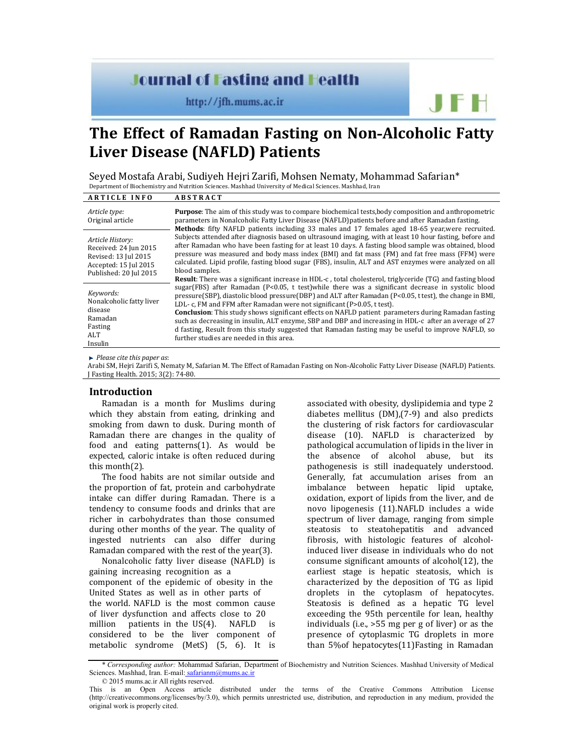# **Journal of Fasting and Health**

http://jfh.mums.ac.ir

# **The Effect of Ramadan Fasting on Non-Alcoholic Fatty Liver Disease (NAFLD) Patients**

Seyed Mostafa Arabi, Sudiyeh Hejri Zarifi, Mohsen Nematy, Mohammad Safarian\* Department of Biochemistry and Nutrition Sciences. Mashhad University of Medical Sciences. Mashhad, Iran

| <b>ARTICLE INFO</b>                                                                                                  | <b>ABSTRACT</b>                                                                                                                                                                                                                                                                                                                                                                                                                                                                                                                                                                                                                                                                                                                                                                          |
|----------------------------------------------------------------------------------------------------------------------|------------------------------------------------------------------------------------------------------------------------------------------------------------------------------------------------------------------------------------------------------------------------------------------------------------------------------------------------------------------------------------------------------------------------------------------------------------------------------------------------------------------------------------------------------------------------------------------------------------------------------------------------------------------------------------------------------------------------------------------------------------------------------------------|
| Article type:<br>Original article                                                                                    | <b>Purpose:</b> The aim of this study was to compare biochemical tests, body composition and anthropometric<br>parameters in Nonalcoholic Fatty Liver Disease (NAFLD) patients before and after Ramadan fasting.<br>Methods: fifty NAFLD patients including 33 males and 17 females aged 18-65 year, were recruited.                                                                                                                                                                                                                                                                                                                                                                                                                                                                     |
| Article History:<br>Received: 24 Jun 2015<br>Revised: 13 Jul 2015<br>Accepted: 15 Jul 2015<br>Published: 20 Jul 2015 | Subjects attended after diagnosis based on ultrasound imaging, with at least 10 hour fasting, before and<br>after Ramadan who have been fasting for at least 10 days. A fasting blood sample was obtained, blood<br>pressure was measured and body mass index (BMI) and fat mass (FM) and fat free mass (FFM) were<br>calculated. Lipid profile, fasting blood sugar (FBS), insulin, ALT and AST enzymes were analyzed on all<br>blood samples.                                                                                                                                                                                                                                                                                                                                          |
| Keywords:<br>Nonalcoholic fatty liver<br>disease<br>Ramadan<br>Fasting<br>ALT.<br>Insulin                            | <b>Result:</b> There was a significant increase in HDL-c, total cholesterol, triglyceride (TG) and fasting blood<br>sugar(FBS) after Ramadan (P<0.05, t test) while there was a significant decrease in systolic blood<br>pressure (SBP), diastolic blood pressure (DBP) and ALT after Ramadan (P<0.05, t test), the change in BMI,<br>LDL- c, FM and FFM after Ramadan were not significant (P>0.05, t test).<br><b>Conclusion:</b> This study shows significant effects on NAFLD patient parameters during Ramadan fasting<br>such as decreasing in insulin, ALT enzyme, SBP and DBP and increasing in HDL-c after an average of 27<br>d fasting, Result from this study suggested that Ramadan fasting may be useful to improve NAFLD, so<br>further studies are needed in this area. |

*Please cite this paper as*:

Arabi SM, Hejri Zarifi S, Nematy M, Safarian M. The Effect of Ramadan Fasting on Non -Alcoholic Fatty Liver Disease (NAFLD) Patients. J Fasting Health. 2015; 3(2): 74-80.

### **Introduction**

Ramadan is a month for Muslims during which they abstain from eating, drinking and smoking from dawn to dusk. During month of Ramadan there are changes in the quality of food and eating patterns(1). As would be expected, caloric intake is often reduced during this month(2).

The food habits are not similar outside and the proportion of fat, protein and carbohydrate intake can differ during Ramadan. There is a tendency to consume foods and drinks that are richer in carbohydrates than those consumed during other months of the year. The quality of ingested nutrients can also differ during Ramadan compared with the rest of the year(3).

Nonalcoholic fatty liver disease (NAFLD) is gaining increasing recognition as a component of the epidemic of obesity in the United States as well as in other parts of the world. NAFLD is the most common cause of liver dysfunction and affects close to 20 million patients in the US(4). NAFLD is considered to be the liver component of metabolic syndrome (MetS) (5, 6). It is

associated with obesity, dyslipidemia and type 2 diabetes mellitus (DM),(7-9) and also predicts the clustering of risk factors for cardiovascular disease (10). NAFLD is characterized by pathological accumulation of lipids in the liver in the absence of alcohol abuse, but its pathogenesis is still inadequately understood. Generally, fat accumulation arises from an imbalance between hepatic lipid uptake, oxidation, export of lipids from the liver, and de novo lipogenesis (11).NAFLD includes a wide spectrum of liver damage, ranging from simple steatosis to steatohepatitis and advanced fibrosis, with histologic features of alcoholinduced liver disease in individuals who do not consume significant amounts of alcohol(12), the earliest stage is hepatic steatosis, which is characterized by the deposition of TG as lipid droplets in the cytoplasm of hepatocytes. Steatosis is defined as a hepatic TG level exceeding the 95th percentile for lean, healthy individuals (i.e., >55 mg per g of liver) or as the presence of cytoplasmic TG droplets in more than 5%of hepatocytes(11)Fasting in Ramadan

JF H

<sup>\*</sup> *Corresponding author:* Mohammad Safarian, Department of Biochemistry and Nutrition Sciences. Mashhad University of Medical Sciences. Mashhad, Iran. E-mail: safarianm@mums.ac.ir

<sup>© 2015</sup> mums.ac.ir All rights reserved.

This is an Open Access article distributed under the terms of the Creative Commons Attribution License (http://creativecommons.org/licenses/by/3.0), which permits unrestricted use, distribution, and reproduction in any medium, provided the original work is properly cited.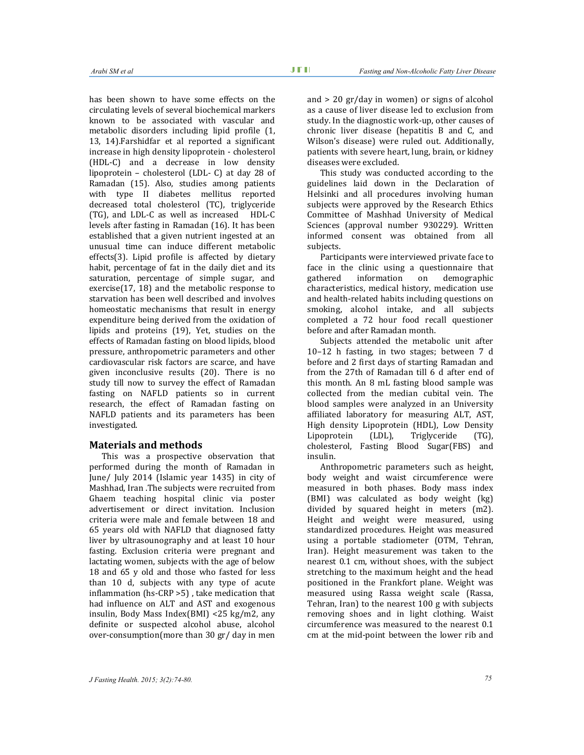has been shown to have some effects on the circulating levels of several biochemical markers known to be associated with vascular and metabolic disorders including lipid profile (1, 13, 14).Farshidfar et al reported a significant increase in high density lipoprotein - cholesterol (HDL-C) and a decrease in low density lipoprotein – cholesterol (LDL- C) at day 28 of Ramadan (15). Also, studies among patients with type II diabetes mellitus reported decreased total cholesterol (TC), triglyceride (TG), and LDL-C as well as increased HDL-C levels after fasting in Ramadan (16). It has been established that a given nutrient ingested at an unusual time can induce different metabolic effects(3). Lipid profile is affected by dietary habit, percentage of fat in the daily diet and its saturation, percentage of simple sugar, and exercise(17, 18) and the metabolic response to starvation has been well described and involves homeostatic mechanisms that result in energy expenditure being derived from the oxidation of lipids and proteins (19), Yet, studies on the effects of Ramadan fasting on blood lipids, blood pressure, anthropometric parameters and other cardiovascular risk factors are scarce, and have given inconclusive results (20). There is no study till now to survey the effect of Ramadan fasting on NAFLD patients so in current research, the effect of Ramadan fasting on NAFLD patients and its parameters has been investigated.

# **Materials and methods**

This was a prospective observation that performed during the month of Ramadan in June/ July 2014 (Islamic year 1435) in city of Mashhad, Iran .The subjects were recruited from Ghaem teaching hospital clinic via poster advertisement or direct invitation. Inclusion criteria were male and female between 18 and 65 years old with NAFLD that diagnosed fatty liver by ultrasounography and at least 10 hour fasting. Exclusion criteria were pregnant and lactating women, subjects with the age of below 18 and 65 y old and those who fasted for less than 10 d, subjects with any type of acute inflammation (hs-CRP >5) , take medication that had influence on ALT and AST and exogenous insulin, Body Mass Index(BMI) <25 kg/m2, any definite or suspected alcohol abuse, alcohol over-consumption(more than 30 gr/ day in men

and > 20 gr/day in women) or signs of alcohol as a cause of liver disease led to exclusion from study. In the diagnostic work-up, other causes of chronic liver disease (hepatitis B and C, and Wilson's disease) were ruled out. Additionally, patients with severe heart, lung, brain, or kidney diseases were excluded.

This study was conducted according to the guidelines laid down in the Declaration of Helsinki and all procedures involving human subjects were approved by the Research Ethics Committee of Mashhad University of Medical Sciences (approval number 930229). Written informed consent was obtained from all subjects.

Participants were interviewed private face to face in the clinic using a questionnaire that gathered information on demographic characteristics, medical history, medication use and health-related habits including questions on smoking, alcohol intake, and all subjects completed a 72 hour food recall questioner before and after Ramadan month.

Subjects attended the metabolic unit after 10–12 h fasting, in two stages; between 7 d before and 2 first days of starting Ramadan and from the 27th of Ramadan till 6 d after end of this month. An 8 mL fasting blood sample was collected from the median cubital vein. The blood samples were analyzed in an University affiliated laboratory for measuring ALT, AST, High density Lipoprotein (HDL), Low Density Lipoprotein (LDL), Triglyceride (TG), cholesterol, Fasting Blood Sugar(FBS) and insulin.

Anthropometric parameters such as height, body weight and waist circumference were measured in both phases. Body mass index (BMI) was calculated as body weight (kg) divided by squared height in meters (m2). Height and weight were measured, using standardized procedures. Height was measured using a portable stadiometer (OTM, Tehran, Iran). Height measurement was taken to the nearest 0.1 cm, without shoes, with the subject stretching to the maximum height and the head positioned in the Frankfort plane. Weight was measured using Rassa weight scale (Rassa, Tehran, Iran) to the nearest 100 g with subjects removing shoes and in light clothing. Waist circumference was measured to the nearest 0.1 cm at the mid-point between the lower rib and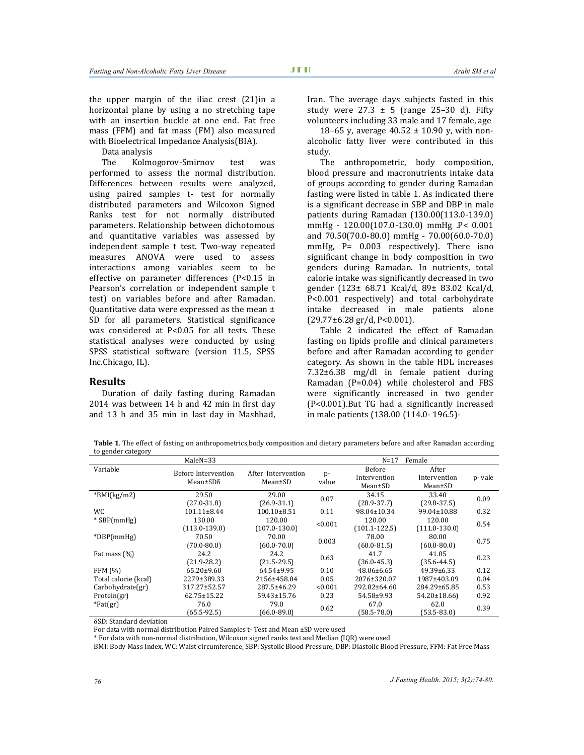the upper margin of the iliac crest (21)in a horizontal plane by using a no stretching tape with an insertion buckle at one end. Fat free mass (FFM) and fat mass (FM) also measured with Bioelectrical Impedance Analysis(BIA).

Data analysis

The Kolmogorov-Smirnov test was performed to assess the normal distribution. Differences between results were analyzed, using paired samples t- test for normally distributed parameters and Wilcoxon Signed Ranks test for not normally distributed parameters. Relationship between dichotomous and quantitative variables was assessed by independent sample t test. Two-way repeated measures ANOVA were used to assess interactions among variables seem to be effective on parameter differences (P<0.15 in Pearson's correlation or independent sample t test) on variables before and after Ramadan. Quantitative data were expressed as the mean ± SD for all parameters. Statistical significance was considered at P<0.05 for all tests. These statistical analyses were conducted by using SPSS statistical software (version 11.5, SPSS Inc.Chicago, IL).

#### **Results**

Duration of daily fasting during Ramadan 2014 was between 14 h and 42 min in first day and 13 h and 35 min in last day in Mashhad, Iran. The average days subjects fasted in this study were  $27.3 \pm 5$  (range 25-30 d). Fifty volunteers including 33 male and 17 female, age

18–65 y, average  $40.52 \pm 10.90$  y, with nonalcoholic fatty liver were contributed in this study.

The anthropometric, body composition, blood pressure and macronutrients intake data of groups according to gender during Ramadan fasting were listed in table 1. As indicated there is a significant decrease in SBP and DBP in male patients during Ramadan (130.00(113.0-139.0) mmHg - 120.00(107.0-130.0) mmHg .P< 0.001 and 70.50(70.0-80.0) mmHg - 70.00(60.0-70.0) mmHg, P= 0.003 respectively). There isno significant change in body composition in two genders during Ramadan. In nutrients, total calorie intake was significantly decreased in two gender (123± 68.71 Kcal/d, 89± 83.02 Kcal/d, P<0.001 respectively) and total carbohydrate intake decreased in male patients alone  $(29.77\pm6.28 \text{ gr}/d, P<0.001)$ .

Table 2 indicated the effect of Ramadan fasting on lipids profile and clinical parameters before and after Ramadan according to gender category. As shown in the table HDL increases 7.32±6.38 mg/dl in female patient during Ramadan (P=0.04) while cholesterol and FBS were significantly increased in two gender (P<0.001).But TG had a significantly increased in male patients (138.00 (114.0- 196.5)-

**Table 1**. The effect of fasting on anthropometrics,body composition and dietary parameters before and after Ramadan according to gender category

| $MaleN = 33$         |                     |                    | $N=17$<br>Female |                   |                   |        |
|----------------------|---------------------|--------------------|------------------|-------------------|-------------------|--------|
| Variable             | Before Intervention | After Intervention |                  | Before            | After             |        |
|                      | $Mean \pm SD\delta$ | $Mean \pm SD$      | p-               | Intervention      | Intervention      | p-vale |
|                      |                     |                    | value            | $Mean \pm SD$     | $Mean \pm SD$     |        |
| $*$ BMI(kg/m2)       | 29.50               | 29.00              | 0.07             | 34.15             | 33.40             | 0.09   |
|                      | $(27.0 - 31.8)$     | $(26.9 - 31.1)$    |                  | $(28.9 - 37.7)$   | $(29.8-37.5)$     |        |
| <b>WC</b>            | $101.11 \pm 8.44$   | $100.10 \pm 8.51$  | 0.11             | $98.04 \pm 10.34$ | $99.04 \pm 10.88$ | 0.32   |
| $*$ SBP(mmHg)        | 130.00              | 120.00             | < 0.001          | 120.00            | 120.00            | 0.54   |
|                      | $(113.0 - 139.0)$   | $(107.0 - 130.0)$  |                  | $(101.1 - 122.5)$ | $(111.0 - 130.0)$ |        |
| $*DBP(mmHg)$         | 70.50               | 70.00              | 0.003            | 78.00             | 80.00             | 0.75   |
|                      | $(70.0 - 80.0)$     | $(60.0 - 70.0)$    |                  | $(60.0 - 81.5)$   | $(60.0 - 80.0)$   |        |
| Fat mass (%)         | 24.2                | 24.2               | 0.63             | 41.7              | 41.05             | 0.23   |
|                      | $(21.9 - 28.2)$     | $(21.5 - 29.5)$    |                  | $(36.0 - 45.3)$   | $(35.6 - 44.5)$   |        |
| <b>FFM (%)</b>       | $65.20 \pm 9.60$    | 64.54±9.95         | 0.10             | $48.06 \pm 6.65$  | $49.39 \pm 6.33$  | 0.12   |
| Total calorie (kcal) | 2279±389.33         | 2156±458.04        | 0.05             | 2076±320.07       | 1987±403.09       | 0.04   |
| Carbohydrate(gr)     | 317.27±52.57        | 287.5±46.29        | < 0.001          | 292.82±64.60      | 284.29±65.85      | 0.53   |
| Protein(gr)          | $62.75 \pm 15.22$   | 59.43±15.76        | 0.23             | 54.58±9.93        | 54.20±18.66)      | 0.92   |
| $*Fat(gr)$           | 76.0                | 79.0               | 0.62             | 67.0              | 62.0              | 0.39   |
|                      | $(65.5-92.5)$       | $(66.0 - 89.0)$    |                  | $(58.5 - 78.0)$   | $(53.5 - 83.0)$   |        |

δSD: Standard deviation

For data with normal distribution Paired Samples t- Test and Mean ±SD were used

\* For data with non-normal distribution, Wilcoxon signed ranks test and Median (IQR) were used

BMI: Body Mass Index, WC: Waist circumference, SBP: Systolic Blood Pressure, DBP: Diastolic Blood Pressure, FFM: Fat Free Mass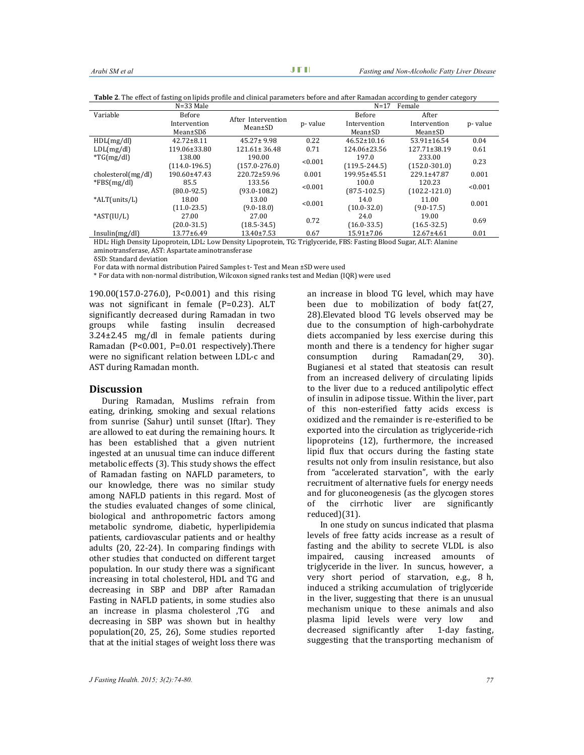| $N = 33$ Male      |                     |                                     | $N=17$<br>Female |                   |                    |         |
|--------------------|---------------------|-------------------------------------|------------------|-------------------|--------------------|---------|
| Variable           | <b>Before</b>       | After Intervention<br>$Mean \pm SD$ |                  | <b>Before</b>     | After              |         |
|                    | Intervention        |                                     | p-value          | Intervention      | Intervention       | p-value |
|                    | $Mean \pm SD\delta$ |                                     |                  | $Mean \pm SD$     | $Mean \pm SD$      |         |
| HDL(mg/dl)         | $42.72 \pm 8.11$    | $45.27 \pm 9.98$                    | 0.22             | $46.52 \pm 10.16$ | $53.91 \pm 16.54$  | 0.04    |
| LDL(mg/dl)         | 119.06±33.80        | $121.61 \pm 36.48$                  | 0.71             | 124.06±23.56      | $127.71 \pm 38.19$ | 0.61    |
| $*TG(mg/dl)$       | 138.00              | 190.00                              | < 0.001          | 197.0             | 233.00             | 0.23    |
|                    | $(114.0-196.5)$     | $(157.0 - 276.0)$                   |                  | $(119.5 - 244.5)$ | $(152.0 - 301.0)$  |         |
| cholesterol(mg/dl) | $190.60 \pm 47.43$  | 220.72±59.96                        | 0.001            | 199.95±45.51      | 229.1±47.87        | 0.001   |
| $*FBS(mg/dl)$      | 85.5                | 133.56                              | < 0.001          | 100.0             | 120.23             | < 0.001 |
|                    | $(80.0 - 92.5)$     | $(93.0 - 108.2)$                    |                  | $(87.5 - 102.5)$  | $(102.2 - 121.0)$  |         |
| *ALT(units/L)      | 18.00               | 13.00                               | < 0.001          | 14.0              | 11.00              | 0.001   |
|                    | $(11.0 - 23.5)$     | $(9.0 - 18.0)$                      |                  | $(10.0 - 32.0)$   | $(9.0 - 17.5)$     |         |
| $*AST(IU/L)$       | 27.00               | 27.00                               | 0.72             | 24.0              | 19.00              | 0.69    |
|                    | $(20.0 - 31.5)$     | $(18.5 - 34.5)$                     |                  | $(16.0 - 33.5)$   | $(16.5 - 32.5)$    |         |
| Insulin(mg/dl)     | $13.77 \pm 6.49$    | $13.40 \pm 7.53$                    | 0.67             | $15.91 \pm 7.06$  | 12.67±4.61         | 0.01    |

**Table 2**. The effect of fasting on lipids profile and clinical parameters before and after Ramadan according to gender category

HDL: High Density Lipoprotein, LDL: Low Density Lipoprotein, TG: Triglyceride, FBS: Fasting Blood Sugar, ALT: Alanine aminotransferase, AST: Aspartate aminotransferase

δSD: Standard deviation

For data with normal distribution Paired Samples t- Test and Mean ±SD were used

\* For data with non-normal distribution, Wilcoxon signed ranks test and Median (IQR) were used

190.00(157.0-276.0), P<0.001) and this rising was not significant in female (P=0.23). ALT significantly decreased during Ramadan in two groups while fasting insulin decreased 3.24±2.45 mg/dl in female patients during Ramadan (P<0.001, P=0.01 respectively).There were no significant relation between LDL-c and AST during Ramadan month.

# **Discussion**

During Ramadan, Muslims refrain from eating, drinking, smoking and sexual relations from sunrise (Sahur) until sunset (Iftar). They are allowed to eat during the remaining hours. It has been established that a given nutrient ingested at an unusual time can induce different metabolic effects (3). This study shows the effect of Ramadan fasting on NAFLD parameters, to our knowledge, there was no similar study among NAFLD patients in this regard. Most of the studies evaluated changes of some clinical, biological and anthropometric factors among metabolic syndrome, diabetic, hyperlipidemia patients, cardiovascular patients and or healthy adults (20, 22-24). In comparing findings with other studies that conducted on different target population. In our study there was a significant increasing in total cholesterol, HDL and TG and decreasing in SBP and DBP after Ramadan Fasting in NAFLD patients, in some studies also an increase in plasma cholesterol ,TG and decreasing in SBP was shown but in healthy population(20, 25, 26), Some studies reported that at the initial stages of weight loss there was

an increase in blood TG level, which may have been due to mobilization of body fat(27, 28).Elevated blood TG levels observed may be due to the consumption of high-carbohydrate diets accompanied by less exercise during this month and there is a tendency for higher sugar consumption during Ramadan(29, 30). Bugianesi et al stated that steatosis can result from an increased delivery of circulating lipids to the liver due to a reduced antilipolytic effect of insulin in adipose tissue. Within the liver, part of this non-esterified fatty acids excess is oxidized and the remainder is re-esterified to be exported into the circulation as triglyceride-rich lipoproteins (12), furthermore, the increased lipid flux that occurs during the fasting state results not only from insulin resistance, but also from "accelerated starvation", with the early recruitment of alternative fuels for energy needs and for gluconeogenesis (as the glycogen stores of the cirrhotic liver are significantly reduced)(31).

In one study on suncus indicated that plasma levels of free fatty acids increase as a result of fasting and the ability to secrete VLDL is also impaired, causing increased amounts of triglyceride in the liver. In suncus, however, a very short period of starvation, e.g., 8 h, induced a striking accumulation of triglyceride in the liver, suggesting that there is an unusual mechanism unique to these animals and also plasma lipid levels were very low and decreased significantly after 1-day fasting, suggesting that the transporting mechanism of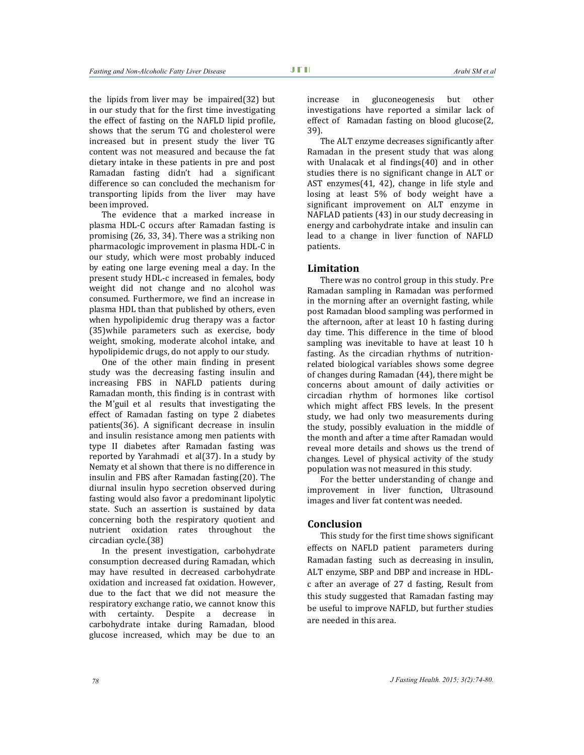the lipids from liver may be impaired(32) but in our study that for the first time investigating the effect of fasting on the NAFLD lipid profile, shows that the serum TG and cholesterol were increased but in present study the liver TG content was not measured and because the fat dietary intake in these patients in pre and post Ramadan fasting didn't had a significant difference so can concluded the mechanism for transporting lipids from the liver may have been improved.

The evidence that a marked increase in plasma HDL-C occurs after Ramadan fasting is promising (26, 33, 34). There was a striking non pharmacologic improvement in plasma HDL-C in our study, which were most probably induced by eating one large evening meal a day. In the present study HDL-c increased in females, body weight did not change and no alcohol was consumed. Furthermore, we find an increase in plasma HDL than that published by others, even when hypolipidemic drug therapy was a factor (35)while parameters such as exercise, body weight, smoking, moderate alcohol intake, and hypolipidemic drugs, do not apply to our study.

One of the other main finding in present study was the decreasing fasting insulin and increasing FBS in NAFLD patients during Ramadan month, this finding is in contrast with the M'guil et al results that investigating the effect of Ramadan fasting on type 2 diabetes patients(36). A significant decrease in insulin and insulin resistance among men patients with type II diabetes after Ramadan fasting was reported by Yarahmadi et al(37). In a study by Nematy et al shown that there is no difference in insulin and FBS after Ramadan fasting(20). The diurnal insulin hypo secretion observed during fasting would also favor a predominant lipolytic state. Such an assertion is sustained by data concerning both the respiratory quotient and nutrient oxidation rates throughout the circadian cycle.(38)

In the present investigation, carbohydrate consumption decreased during Ramadan, which may have resulted in decreased carbohydrate oxidation and increased fat oxidation. However, due to the fact that we did not measure the respiratory exchange ratio, we cannot know this with certainty. Despite a decrease in carbohydrate intake during Ramadan, blood glucose increased, which may be due to an

increase in gluconeogenesis but other investigations have reported a similar lack of effect of Ramadan fasting on blood glucose(2, 39).

The ALT enzyme decreases significantly after Ramadan in the present study that was along with Unalacak et al findings(40) and in other studies there is no significant change in ALT or AST enzymes(41, 42), change in life style and losing at least 5% of body weight have a significant improvement on ALT enzyme in NAFLAD patients (43) in our study decreasing in energy and carbohydrate intake and insulin can lead to a change in liver function of NAFLD patients.

#### **Limitation**

There was no control group in this study. Pre Ramadan sampling in Ramadan was performed in the morning after an overnight fasting, while post Ramadan blood sampling was performed in the afternoon, after at least 10 h fasting during day time. This difference in the time of blood sampling was inevitable to have at least 10 h fasting. As the circadian rhythms of nutritionrelated biological variables shows some degree of changes during Ramadan (44), there might be concerns about amount of daily activities or circadian rhythm of hormones like cortisol which might affect FBS levels. In the present study, we had only two measurements during the study, possibly evaluation in the middle of the month and after a time after Ramadan would reveal more details and shows us the trend of changes. Level of physical activity of the study population was not measured in this study.

For the better understanding of change and improvement in liver function, Ultrasound images and liver fat content was needed.

# **Conclusion**

This study for the first time shows significant effects on NAFLD patient parameters during Ramadan fasting such as decreasing in insulin, ALT enzyme, SBP and DBP and increase in HDLc after an average of 27 d fasting, Result from this study suggested that Ramadan fasting may be useful to improve NAFLD, but further studies are needed in this area.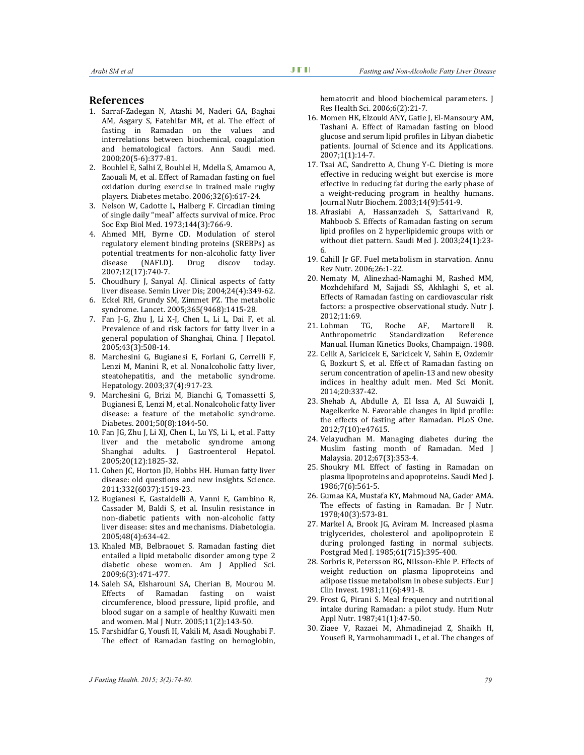- 1. Sarraf-Zadegan N, Atashi M, Naderi GA, Baghai AM, Asgary S, Fatehifar MR, et al. The effect of fasting in Ramadan on the values and interrelations between biochemical, coagulation and hematological factors. Ann Saudi med. 2000;20(5-6):377-81.
- 2. Bouhlel E, Salhi Z, Bouhlel H, Mdella S, Amamou A, Zaouali M, et al. Effect of Ramadan fasting on fuel oxidation during exercise in trained male rugby players. Diabetes metabo. 2006;32(6):617-24.
- 3. Nelson W, Cadotte L, Halberg F. Circadian timing of single daily "meal" affects survival of mice. Proc Soc Exp Biol Med. 1973;144(3):766-9.
- 4. Ahmed MH, Byrne CD. Modulation of sterol regulatory element binding proteins (SREBPs) as potential treatments for non-alcoholic fatty liver disease (NAFLD). Drug discov today. 2007;12(17):740-7.
- 5. Choudhury J, Sanyal AJ. Clinical aspects of fatty liver disease. Semin Liver Dis; 2004;24(4):349-62.
- 6. Eckel RH, Grundy SM, Zimmet PZ. The metabolic syndrome. Lancet. 2005;365(9468):1415-28.
- 7. Fan J-G, Zhu J, Li X-J, Chen L, Li L, Dai F, et al. Prevalence of and risk factors for fatty liver in a general population of Shanghai, China. J Hepatol. 2005;43(3):508-14.
- 8. Marchesini G, Bugianesi E, Forlani G, Cerrelli F, Lenzi M, Manini R, et al. Nonalcoholic fatty liver, steatohepatitis, and the metabolic syndrome. Hepatology. 2003;37(4):917-23.
- 9. Marchesini G, Brizi M, Bianchi G, Tomassetti S, Bugianesi E, Lenzi M, et al. Nonalcoholic fatty liver disease: a feature of the metabolic syndrome. Diabetes. 2001;50(8):1844-50.
- 10. Fan JG, Zhu J, Li XJ, Chen L, Lu YS, Li L, et al. Fatty liver and the metabolic syndrome among Shanghai adults. J Gastroenterol Hepatol. 2005;20(12):1825-32.
- 11. Cohen JC, Horton JD, Hobbs HH. Human fatty liver disease: old questions and new insights. Science. 2011;332(6037):1519-23.
- 12. Bugianesi E, Gastaldelli A, Vanni E, Gambino R, Cassader M, Baldi S, et al. Insulin resistance in non-diabetic patients with non-alcoholic fatty liver disease: sites and mechanisms. Diabetologia. 2005;48(4):634-42.
- 13. Khaled MB, Belbraouet S. Ramadan fasting diet entailed a lipid metabolic disorder among type 2 diabetic obese women. Am J Applied Sci. 2009;6(3):471-477.
- 14. Saleh SA, Elsharouni SA, Cherian B, Mourou M. Effects of Ramadan fasting on waist circumference, blood pressure, lipid profile, and blood sugar on a sample of healthy Kuwaiti men and women. Mal J Nutr. 2005;11(2):143-50.
- 15. Farshidfar G, Yousfi H, Vakili M, Asadi Noughabi F. The effect of Ramadan fasting on hemoglobin,

hematocrit and blood biochemical parameters. J Res Health Sci. 2006;6(2):21-7.

- 16. Momen HK, Elzouki ANY, Gatie J, El-Mansoury AM, Tashani A. Effect of Ramadan fasting on blood glucose and serum lipid profiles in Libyan diabetic patients. Journal of Science and its Applications. 2007;1(1):14-7.
- 17. Tsai AC, Sandretto A, Chung Y-C. Dieting is more effective in reducing weight but exercise is more effective in reducing fat during the early phase of a weight-reducing program in healthy humans. Journal Nutr Biochem. 2003;14(9):541-9.
- 18. Afrasiabi A, Hassanzadeh S, Sattarivand R, Mahboob S. Effects of Ramadan fasting on serum lipid profiles on 2 hyperlipidemic groups with or without diet pattern. Saudi Med J. 2003;24(1):23- 6.
- 19. Cahill Jr GF. Fuel metabolism in starvation. Annu Rev Nutr. 2006;26:1-22.
- 20. Nematy M, Alinezhad-Namaghi M, Rashed MM, Mozhdehifard M, Sajjadi SS, Akhlaghi S, et al. Effects of Ramadan fasting on cardiovascular risk factors: a prospective observational study. Nutr J. 2012;11:69.
- 21. Lohman TG, Roche AF, Martorell R. Anthropometric Standardization Reference Manual. Human Kinetics Books, Champaign. 1988.
- 22. Celik A, Saricicek E, Saricicek V, Sahin E, Ozdemir G, Bozkurt S, et al. Effect of Ramadan fasting on serum concentration of apelin-13 and new obesity indices in healthy adult men. Med Sci Monit. 2014;20:337-42.
- 23. Shehab A, Abdulle A, El Issa A, Al Suwaidi J, Nagelkerke N. Favorable changes in lipid profile: the effects of fasting after Ramadan. PLoS One. 2012;7(10):e47615.
- 24. Velayudhan M. Managing diabetes during the Muslim fasting month of Ramadan. Med J Malaysia. 2012;67(3):353-4.
- 25. Shoukry MI. Effect of fasting in Ramadan on plasma lipoproteins and apoproteins. Saudi Med J. 1986;7(6):561-5.
- 26. Gumaa KA, Mustafa KY, Mahmoud NA, Gader AMA. The effects of fasting in Ramadan. Br J Nutr. 1978;40(3):573-81.
- 27. Markel A, Brook JG, Aviram M. Increased plasma triglycerides, cholesterol and apolipoprotein E during prolonged fasting in normal subjects. Postgrad Med J. 1985;61(715):395-400.
- 28. Sorbris R, Petersson BG, Nilsson-Ehle P. Effects of weight reduction on plasma lipoproteins and adipose tissue metabolism in obese subjects. Eur J Clin Invest. 1981;11(6):491-8.
- 29. Frost G, Pirani S. Meal frequency and nutritional intake during Ramadan: a pilot study. Hum Nutr Appl Nutr. 1987;41(1):47-50.
- 30. Ziaee V, Razaei M, Ahmadinejad Z, Shaikh H, Yousefi R, Yarmohammadi L, et al. The changes of